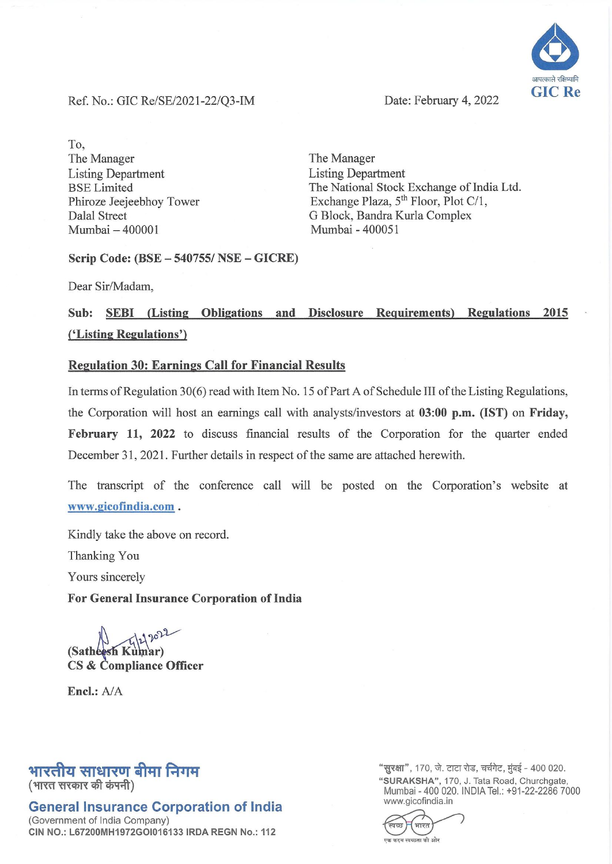.<br>आपत्का **GIC Re** 

Ref. No.: GIC Re/SE/2021-22/Q3-IM Date: February 4, 2022

To, The Manager Listing Department BSE Limited Phiroze Jeejeebhoy Tower Dalal Street Mumbai - 400001

The Manager Listing Department The National Stock Exchange of India Ltd. Exchange Plaza, 5<sup>th</sup> Floor, Plot C/1, G Block, Bandra Kurla Complex Mumbai - 400051

Scrip Code: (BSE - 540755/ NSE - GICRE)

Dear Sir/Madam,

## Sub: SEBI (Listing Obligations and Disclosure Requirements) Regulations 2015 ('Listing Regulations')

### Regulation 30: Earnings Call for Financial Results

In terms of Regulation 30(6) read with Item No. 15 of Part A of Schedule III of the Listing Regulations, the Corporation will host an earnings call with analysts/investors at 03:00 p.m, (1ST) on Friday, February 11, 2022 to discuss financial results of the Corporation for the quarter ended December 31, 2021. Further details in respect of the same are attached herewith.

The transcript of the conference call will be posted on the Corporation's website at www.gicofindia.com .

Kindly take the above on record.

Thanking You

Yours sincerely

#### For General Insurance Corporation of India

29022 CS & Compliance Officer

Encl.: *AlA* 

## भारतीय साधारण बीमा निगम

(भारत सरकार की कंपनी)

## General Insurance Corporation of India

(Government of India Company) CIN NO.: L67200MH1972GOI016133 IRDA REGN No.: 112 "सुरक्षा", 170, जे. टाटा रोड, चर्चगेट, मुंबई - 400 020. "SURAKSHA", 170, J. Tata Road, Churchgate, Mumbai - 400 020. INDIA Tel.: +91-22-2286 7000 www.gicofindia.in

भारत তিভা ~ 'l"'"""""""",-.ft om: